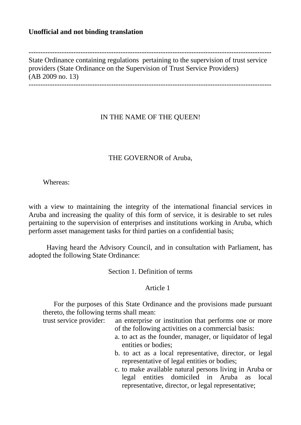## **Unofficial and not binding translation**

State Ordinance containing regulations pertaining to the supervision of trust service providers (State Ordinance on the Supervision of Trust Service Providers) (AB 2009 no. 13) -------------------------------------------------------------------------------------------------------

-------------------------------------------------------------------------------------------------------

# IN THE NAME OF THE QUEEN!

## THE GOVERNOR of Aruba,

Whereas:

with a view to maintaining the integrity of the international financial services in Aruba and increasing the quality of this form of service, it is desirable to set rules pertaining to the supervision of enterprises and institutions working in Aruba, which perform asset management tasks for third parties on a confidential basis;

Having heard the Advisory Council, and in consultation with Parliament, has adopted the following State Ordinance:

Section 1. Definition of terms

### Article 1

For the purposes of this State Ordinance and the provisions made pursuant thereto, the following terms shall mean:

trust service provider: an enterprise or institution that performs one or more of the following activities on a commercial basis:

- a. to act as the founder, manager, or liquidator of legal entities or bodies;
- b. to act as a local representative, director, or legal representative of legal entities or bodies;
- c. to make available natural persons living in Aruba or legal entities domiciled in Aruba as local representative, director, or legal representative;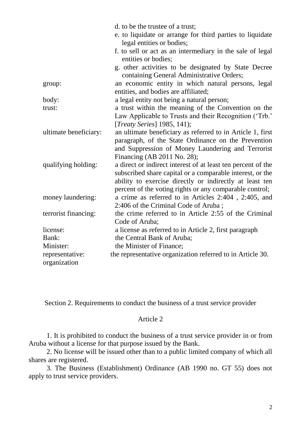|                       | d. to be the trustee of a trust;<br>e. to liquidate or arrange for third parties to liquidate<br>legal entities or bodies; |
|-----------------------|----------------------------------------------------------------------------------------------------------------------------|
|                       | f. to sell or act as an intermediary in the sale of legal<br>entities or bodies;                                           |
|                       | g. other activities to be designated by State Decree<br>containing General Administrative Orders;                          |
| group:                | an economic entity in which natural persons, legal<br>entities, and bodies are affiliated;                                 |
| body:                 | a legal entity not being a natural person;                                                                                 |
| trust:                | a trust within the meaning of the Convention on the                                                                        |
|                       | Law Applicable to Trusts and their Recognition ('Trb.'                                                                     |
|                       | [ <i>Treaty Series</i> ] $1985, 141$ <i>)</i> ;                                                                            |
| ultimate beneficiary: | an ultimate beneficiary as referred to in Article 1, first                                                                 |
|                       | paragraph, of the State Ordinance on the Prevention                                                                        |
|                       | and Suppression of Money Laundering and Terrorist                                                                          |
|                       | Financing (AB 2011 No. 28);                                                                                                |
| qualifying holding:   | a direct or indirect interest of at least ten percent of the                                                               |
|                       | subscribed share capital or a comparable interest, or the                                                                  |
|                       | ability to exercise directly or indirectly at least ten                                                                    |
|                       | percent of the voting rights or any comparable control;                                                                    |
| money laundering:     | a crime as referred to in Articles 2:404, 2:405, and                                                                       |
|                       | 2:406 of the Criminal Code of Aruba;                                                                                       |
| terrorist financing:  | the crime referred to in Article 2:55 of the Criminal                                                                      |
|                       | Code of Aruba;                                                                                                             |
| license:              | a license as referred to in Article 2, first paragraph                                                                     |
| Bank:                 | the Central Bank of Aruba;                                                                                                 |
| Minister:             | the Minister of Finance;                                                                                                   |
| representative:       | the representative organization referred to in Article 30.                                                                 |
| organization          |                                                                                                                            |

Section 2. Requirements to conduct the business of a trust service provider

## Article 2

1. It is prohibited to conduct the business of a trust service provider in or from Aruba without a license for that purpose issued by the Bank.

2. No license will be issued other than to a public limited company of which all shares are registered.

3. The Business (Establishment) Ordinance (AB 1990 no. GT 55) does not apply to trust service providers.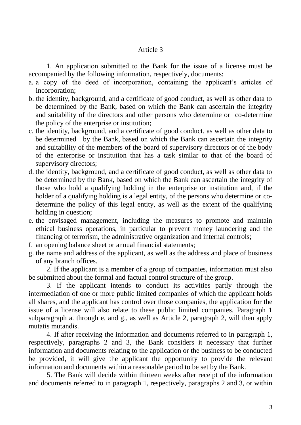1. An application submitted to the Bank for the issue of a license must be accompanied by the following information, respectively, documents:

- a. a copy of the deed of incorporation, containing the applicant's articles of incorporation;
- b. the identity, background, and a certificate of good conduct, as well as other data to be determined by the Bank, based on which the Bank can ascertain the integrity and suitability of the directors and other persons who determine or co-determine the policy of the enterprise or institution;
- c. the identity, background, and a certificate of good conduct, as well as other data to be determined by the Bank, based on which the Bank can ascertain the integrity and suitability of the members of the board of supervisory directors or of the body of the enterprise or institution that has a task similar to that of the board of supervisory directors;
- d. the identity, background, and a certificate of good conduct, as well as other data to be determined by the Bank, based on which the Bank can ascertain the integrity of those who hold a qualifying holding in the enterprise or institution and, if the holder of a qualifying holding is a legal entity, of the persons who determine or codetermine the policy of this legal entity, as well as the extent of the qualifying holding in question;
- e. the envisaged management, including the measures to promote and maintain ethical business operations, in particular to prevent money laundering and the financing of terrorism, the administrative organization and internal controls;
- f. an opening balance sheet or annual financial statements;
- g. the name and address of the applicant, as well as the address and place of business of any branch offices.

2. If the applicant is a member of a group of companies, information must also be submitted about the formal and factual control structure of the group.

3. If the applicant intends to conduct its activities partly through the intermediation of one or more public limited companies of which the applicant holds all shares, and the applicant has control over those companies, the application for the issue of a license will also relate to these public limited companies. Paragraph 1 subparagraph a. through e. and g., as well as Article 2, paragraph 2, will then apply mutatis mutandis.

4. If after receiving the information and documents referred to in paragraph 1, respectively, paragraphs 2 and 3, the Bank considers it necessary that further information and documents relating to the application or the business to be conducted be provided, it will give the applicant the opportunity to provide the relevant information and documents within a reasonable period to be set by the Bank.

5. The Bank will decide within thirteen weeks after receipt of the information and documents referred to in paragraph 1, respectively, paragraphs 2 and 3, or within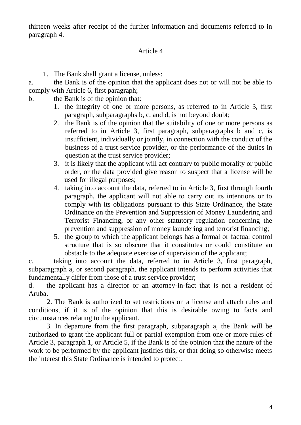thirteen weeks after receipt of the further information and documents referred to in paragraph 4.

# Article 4

1. The Bank shall grant a license, unless:

a. the Bank is of the opinion that the applicant does not or will not be able to comply with Article 6, first paragraph;

- b. the Bank is of the opinion that:
	- 1. the integrity of one or more persons, as referred to in Article 3, first paragraph, subparagraphs b, c, and d, is not beyond doubt;
	- 2. the Bank is of the opinion that the suitability of one or more persons as referred to in Article 3, first paragraph, subparagraphs b and c, is insufficient, individually or jointly, in connection with the conduct of the business of a trust service provider, or the performance of the duties in question at the trust service provider;
	- 3. it is likely that the applicant will act contrary to public morality or public order, or the data provided give reason to suspect that a license will be used for illegal purposes;
	- 4. taking into account the data, referred to in Article 3, first through fourth paragraph, the applicant will not able to carry out its intentions or to comply with its obligations pursuant to this State Ordinance, the State Ordinance on the Prevention and Suppression of Money Laundering and Terrorist Financing, or any other statutory regulation concerning the prevention and suppression of money laundering and terrorist financing;
	- 5. the group to which the applicant belongs has a formal or factual control structure that is so obscure that it constitutes or could constitute an obstacle to the adequate exercise of supervision of the applicant;

c. taking into account the data, referred to in Article 3, first paragraph, subparagraph a, or second paragraph, the applicant intends to perform activities that fundamentally differ from those of a trust service provider;

d. the applicant has a director or an attorney-in-fact that is not a resident of Aruba.

2. The Bank is authorized to set restrictions on a license and attach rules and conditions, if it is of the opinion that this is desirable owing to facts and circumstances relating to the applicant.

3. In departure from the first paragraph, subparagraph a, the Bank will be authorized to grant the applicant full or partial exemption from one or more rules of Article 3, paragraph 1, or Article 5, if the Bank is of the opinion that the nature of the work to be performed by the applicant justifies this, or that doing so otherwise meets the interest this State Ordinance is intended to protect.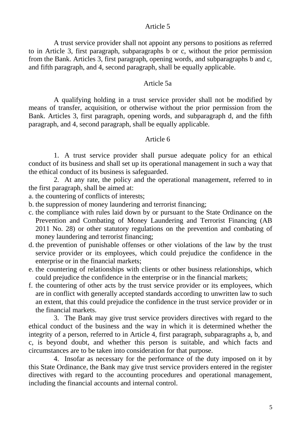A trust service provider shall not appoint any persons to positions as referred to in Article 3, first paragraph, subparagraphs b or c, without the prior permission from the Bank. Articles 3, first paragraph, opening words, and subparagraphs b and c, and fifth paragraph, and 4, second paragraph, shall be equally applicable.

### Article 5a

A qualifying holding in a trust service provider shall not be modified by means of transfer, acquisition, or otherwise without the prior permission from the Bank. Articles 3, first paragraph, opening words, and subparagraph d, and the fifth paragraph, and 4, second paragraph, shall be equally applicable.

# Article 6

1. A trust service provider shall pursue adequate policy for an ethical conduct of its business and shall set up its operational management in such a way that the ethical conduct of its business is safeguarded.

2. At any rate, the policy and the operational management, referred to in the first paragraph, shall be aimed at:

- a. the countering of conflicts of interests;
- b. the suppression of money laundering and terrorist financing;
- c. the compliance with rules laid down by or pursuant to the State Ordinance on the Prevention and Combating of Money Laundering and Terrorist Financing (AB 2011 No. 28) or other statutory regulations on the prevention and combating of money laundering and terrorist financing;
- d. the prevention of punishable offenses or other violations of the law by the trust service provider or its employees, which could prejudice the confidence in the enterprise or in the financial markets;
- e. the countering of relationships with clients or other business relationships, which could prejudice the confidence in the enterprise or in the financial markets;
- f. the countering of other acts by the trust service provider or its employees, which are in conflict with generally accepted standards according to unwritten law to such an extent, that this could prejudice the confidence in the trust service provider or in the financial markets.

3. The Bank may give trust service providers directives with regard to the ethical conduct of the business and the way in which it is determined whether the integrity of a person, referred to in Article 4, first paragraph, subparagraphs a, b, and c, is beyond doubt, and whether this person is suitable, and which facts and circumstances are to be taken into consideration for that purpose.

4. Insofar as necessary for the performance of the duty imposed on it by this State Ordinance, the Bank may give trust service providers entered in the register directives with regard to the accounting procedures and operational management, including the financial accounts and internal control.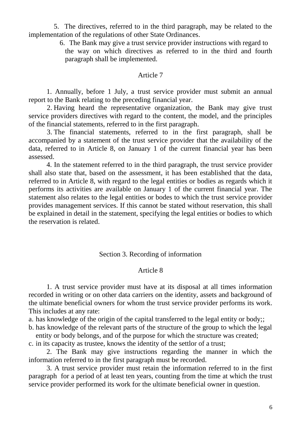5. The directives, referred to in the third paragraph, may be related to the implementation of the regulations of other State Ordinances.

6. The Bank may give a trust service provider instructions with regard to

the way on which directives as referred to in the third and fourth paragraph shall be implemented.

### Article 7

1. Annually, before 1 July, a trust service provider must submit an annual report to the Bank relating to the preceding financial year.

2. Having heard the representative organization, the Bank may give trust service providers directives with regard to the content, the model, and the principles of the financial statements, referred to in the first paragraph.

3. The financial statements, referred to in the first paragraph, shall be accompanied by a statement of the trust service provider that the availability of the data, referred to in Article 8, on January 1 of the current financial year has been assessed.

4. In the statement referred to in the third paragraph, the trust service provider shall also state that, based on the assessment, it has been established that the data, referred to in Article 8, with regard to the legal entities or bodies as regards which it performs its activities are available on January 1 of the current financial year. The statement also relates to the legal entities or bodes to which the trust service provider provides management services. If this cannot be stated without reservation, this shall be explained in detail in the statement, specifying the legal entities or bodies to which the reservation is related.

### Section 3. Recording of information

### Article 8

1. A trust service provider must have at its disposal at all times information recorded in writing or on other data carriers on the identity, assets and background of the ultimate beneficial owners for whom the trust service provider performs its work. This includes at any rate:

a. has knowledge of the origin of the capital transferred to the legal entity or body;;

b. has knowledge of the relevant parts of the structure of the group to which the legal entity or body belongs, and of the purpose for which the structure was created;

c. in its capacity as trustee, knows the identity of the settlor of a trust;

2. The Bank may give instructions regarding the manner in which the information referred to in the first paragraph must be recorded.

3. A trust service provider must retain the information referred to in the first paragraph for a period of at least ten years, counting from the time at which the trust service provider performed its work for the ultimate beneficial owner in question.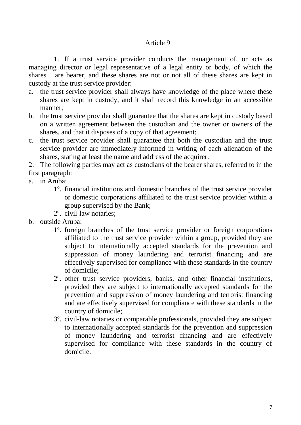1. If a trust service provider conducts the management of, or acts as managing director or legal representative of a legal entity or body, of which the shares are bearer, and these shares are not or not all of these shares are kept in custody at the trust service provider:

- a. the trust service provider shall always have knowledge of the place where these shares are kept in custody, and it shall record this knowledge in an accessible manner;
- b. the trust service provider shall guarantee that the shares are kept in custody based on a written agreement between the custodian and the owner or owners of the shares, and that it disposes of a copy of that agreement;
- c. the trust service provider shall guarantee that both the custodian and the trust service provider are immediately informed in writing of each alienation of the shares, stating at least the name and address of the acquirer.
- 2. The following parties may act as custodians of the bearer shares, referred to in the first paragraph:
- a. in Aruba:
	- 1º. financial institutions and domestic branches of the trust service provider or domestic corporations affiliated to the trust service provider within a group supervised by the Bank;
	- 2º. civil-law notaries;
- b. outside Aruba:
	- 1º. foreign branches of the trust service provider or foreign corporations affiliated to the trust service provider within a group, provided they are subject to internationally accepted standards for the prevention and suppression of money laundering and terrorist financing and are effectively supervised for compliance with these standards in the country of domicile;
	- 2º. other trust service providers, banks, and other financial institutions, provided they are subject to internationally accepted standards for the prevention and suppression of money laundering and terrorist financing and are effectively supervised for compliance with these standards in the country of domicile;
	- 3º. civil-law notaries or comparable professionals, provided they are subject to internationally accepted standards for the prevention and suppression of money laundering and terrorist financing and are effectively supervised for compliance with these standards in the country of domicile.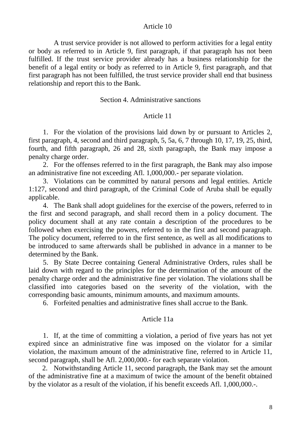A trust service provider is not allowed to perform activities for a legal entity or body as referred to in Article 9, first paragraph, if that paragraph has not been fulfilled. If the trust service provider already has a business relationship for the benefit of a legal entity or body as referred to in Article 9, first paragraph, and that first paragraph has not been fulfilled, the trust service provider shall end that business relationship and report this to the Bank.

### Section 4. Administrative sanctions

### Article 11

1. For the violation of the provisions laid down by or pursuant to Articles 2, first paragraph, 4, second and third paragraph, 5, 5a, 6, 7 through 10, 17, 19, 25, third, fourth, and fifth paragraph, 26 and 28, sixth paragraph, the Bank may impose a penalty charge order.

2. For the offenses referred to in the first paragraph, the Bank may also impose an administrative fine not exceeding Afl. 1,000,000.- per separate violation.

3. Violations can be committed by natural persons and legal entities. Article 1:127, second and third paragraph, of the Criminal Code of Aruba shall be equally applicable.

4. The Bank shall adopt guidelines for the exercise of the powers, referred to in the first and second paragraph, and shall record them in a policy document. The policy document shall at any rate contain a description of the procedures to be followed when exercising the powers, referred to in the first and second paragraph. The policy document, referred to in the first sentence, as well as all modifications to be introduced to same afterwards shall be published in advance in a manner to be determined by the Bank.

5. By State Decree containing General Administrative Orders, rules shall be laid down with regard to the principles for the determination of the amount of the penalty charge order and the administrative fine per violation. The violations shall be classified into categories based on the severity of the violation, with the corresponding basic amounts, minimum amounts, and maximum amounts.

6. Forfeited penalties and administrative fines shall accrue to the Bank.

#### Article 11a

1. If, at the time of committing a violation, a period of five years has not yet expired since an administrative fine was imposed on the violator for a similar violation, the maximum amount of the administrative fine, referred to in Article 11, second paragraph, shall be Afl. 2,000,000.- for each separate violation.

2. Notwithstanding Article 11, second paragraph, the Bank may set the amount of the administrative fine at a maximum of twice the amount of the benefit obtained by the violator as a result of the violation, if his benefit exceeds Afl. 1,000,000.-.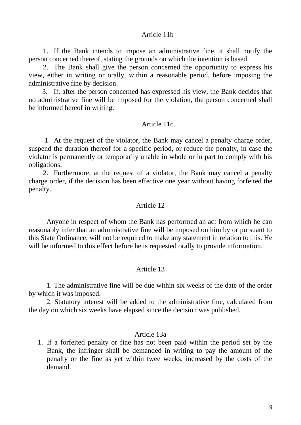#### Article 11b

1. If the Bank intends to impose an administrative fine, it shall notify the person concerned thereof, stating the grounds on which the intention is based.

2. The Bank shall give the person concerned the opportunity to express his view, either in writing or orally, within a reasonable period, before imposing the administrative fine by decision.

3. If, after the person concerned has expressed his view, the Bank decides that no administrative fine will be imposed for the violation, the person concerned shall be informed hereof in writing.

### Article 11c

1. At the request of the violator, the Bank may cancel a penalty charge order, suspend the duration thereof for a specific period, or reduce the penalty, in case the violator is permanently or temporarily unable in whole or in part to comply with his obligations.

2. Furthermore, at the request of a violator, the Bank may cancel a penalty charge order, if the decision has been effective one year without having forfeited the penalty.

#### Article 12

Anyone in respect of whom the Bank has performed an act from which he can reasonably infer that an administrative fine will be imposed on him by or pursuant to this State Ordinance, will not be required to make any statement in relation to this. He will be informed to this effect before he is requested orally to provide information.

### Article 13

1. The administrative fine will be due within six weeks of the date of the order by which it was imposed.

2. Statutory interest will be added to the administrative fine, calculated from the day on which six weeks have elapsed since the decision was published.

### Article 13a

1. If a forfeited penalty or fine has not been paid within the period set by the Bank, the infringer shall be demanded in writing to pay the amount of the penalty or the fine as yet within twee weeks, increased by the costs of the demand.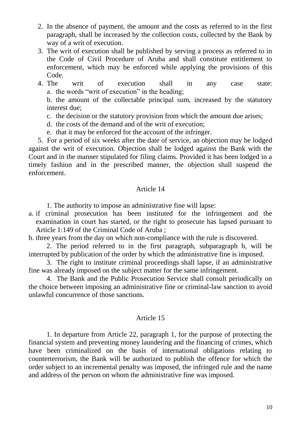- 2. In the absence of payment, the amount and the costs as referred to in the first paragraph, shall be increased by the collection costs, collected by the Bank by way of a writ of execution.
- 3. The writ of execution shall be published by serving a process as referred to in the Code of Civil Procedure of Aruba and shall constitute entitlement to enforcement, which may be enforced while applying the provisions of this Code.
- 4. The writ of execution shall in any case state: a. the words "writ of execution" in the heading;

b. the amount of the collectable principal sum, increased by the statutory interest due;

- c. the decision or the statutory provision from which the amount due arises;
- d. the costs of the demand and of the writ of execution;
- e. that it may be enforced for the account of the infringer.

5. For a period of six weeks after the date of service, an objection may be lodged against the writ of execution. Objection shall be lodged against the Bank with the Court and in the manner stipulated for filing claims. Provided it has been lodged in a timely fashion and in the prescribed manner, the objection shall suspend the enforcement.

# Article 14

1. The authority to impose an administrative fine will lapse:

a. if criminal prosecution has been instituted for the infringement and the examination in court has started, or the right to prosecute has lapsed pursuant to Article 1:149 of the Criminal Code of Aruba ;

b. three years from the day on which non-compliance with the rule is discovered.

2. The period referred to in the first paragraph, subparagraph b, will be interrupted by publication of the order by which the administrative fine is imposed.

3. The right to institute criminal proceedings shall lapse, if an administrative fine was already imposed on the subject matter for the same infringement.

4. The Bank and the Public Prosecution Service shall consult periodically on the choice between imposing an administrative fine or criminal-law sanction to avoid unlawful concurrence of those sanctions.

# Article 15

1. In departure from Article 22, paragraph 1, for the purpose of protecting the financial system and preventing money laundering and the financing of crimes, which have been criminalized on the basis of international obligations relating to counterterrorism, the Bank will be authorized to publish the offence for which the order subject to an incremental penalty was imposed, the infringed rule and the name and address of the person on whom the administrative fine was imposed.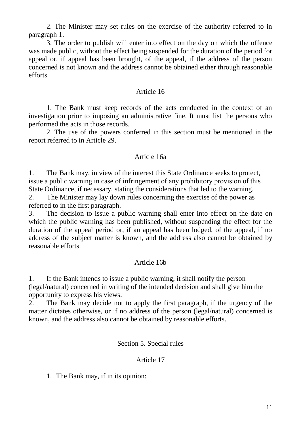2. The Minister may set rules on the exercise of the authority referred to in paragraph 1.

3. The order to publish will enter into effect on the day on which the offence was made public, without the effect being suspended for the duration of the period for appeal or, if appeal has been brought, of the appeal, if the address of the person concerned is not known and the address cannot be obtained either through reasonable efforts.

# Article 16

1. The Bank must keep records of the acts conducted in the context of an investigation prior to imposing an administrative fine. It must list the persons who performed the acts in those records.

2. The use of the powers conferred in this section must be mentioned in the report referred to in Article 29.

# Article 16a

1. The Bank may, in view of the interest this State Ordinance seeks to protect, issue a public warning in case of infringement of any prohibitory provision of this State Ordinance, if necessary, stating the considerations that led to the warning.

2. The Minister may lay down rules concerning the exercise of the power as referred to in the first paragraph.

3. The decision to issue a public warning shall enter into effect on the date on which the public warning has been published, without suspending the effect for the duration of the appeal period or, if an appeal has been lodged, of the appeal, if no address of the subject matter is known, and the address also cannot be obtained by reasonable efforts.

# Article 16b

1. If the Bank intends to issue a public warning, it shall notify the person (legal/natural) concerned in writing of the intended decision and shall give him the opportunity to express his views.

2. The Bank may decide not to apply the first paragraph, if the urgency of the matter dictates otherwise, or if no address of the person (legal/natural) concerned is known, and the address also cannot be obtained by reasonable efforts.

# Section 5. Special rules

# Article 17

1. The Bank may, if in its opinion: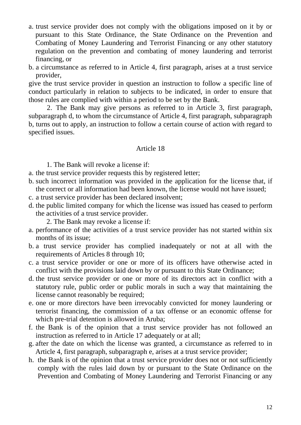a. trust service provider does not comply with the obligations imposed on it by or pursuant to this State Ordinance, the State Ordinance on the Prevention and Combating of Money Laundering and Terrorist Financing or any other statutory regulation on the prevention and combating of money laundering and terrorist financing, or

b. a circumstance as referred to in Article 4, first paragraph, arises at a trust service provider,

give the trust service provider in question an instruction to follow a specific line of conduct particularly in relation to subjects to be indicated, in order to ensure that those rules are complied with within a period to be set by the Bank.

2. The Bank may give persons as referred to in Article 3, first paragraph, subparagraph d, to whom the circumstance of Article 4, first paragraph, subparagraph b, turns out to apply, an instruction to follow a certain course of action with regard to specified issues.

# Article 18

1. The Bank will revoke a license if:

- a. the trust service provider requests this by registered letter;
- b. such incorrect information was provided in the application for the license that, if the correct or all information had been known, the license would not have issued;
- c. a trust service provider has been declared insolvent;
- d. the public limited company for which the license was issued has ceased to perform the activities of a trust service provider.

2. The Bank may revoke a license if:

- a. performance of the activities of a trust service provider has not started within six months of its issue;
- b. a trust service provider has complied inadequately or not at all with the requirements of Articles 8 through 10;
- c. a trust service provider or one or more of its officers have otherwise acted in conflict with the provisions laid down by or pursuant to this State Ordinance;
- d. the trust service provider or one or more of its directors act in conflict with a statutory rule, public order or public morals in such a way that maintaining the license cannot reasonably be required;
- e. one or more directors have been irrevocably convicted for money laundering or terrorist financing, the commission of a tax offense or an economic offense for which pre-trial detention is allowed in Aruba;
- f. the Bank is of the opinion that a trust service provider has not followed an instruction as referred to in Article 17 adequately or at all;
- g. after the date on which the license was granted, a circumstance as referred to in Article 4, first paragraph, subparagraph e, arises at a trust service provider;
- h. the Bank is of the opinion that a trust service provider does not or not sufficiently comply with the rules laid down by or pursuant to the State Ordinance on the Prevention and Combating of Money Laundering and Terrorist Financing or any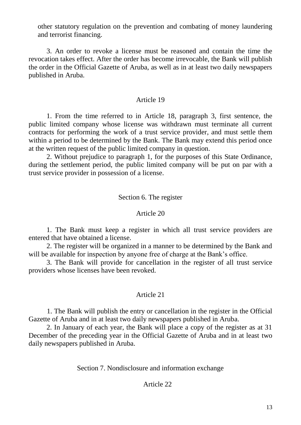other statutory regulation on the prevention and combating of money laundering and terrorist financing.

3. An order to revoke a license must be reasoned and contain the time the revocation takes effect. After the order has become irrevocable, the Bank will publish the order in the Official Gazette of Aruba, as well as in at least two daily newspapers published in Aruba.

## Article 19

1. From the time referred to in Article 18, paragraph 3, first sentence, the public limited company whose license was withdrawn must terminate all current contracts for performing the work of a trust service provider, and must settle them within a period to be determined by the Bank. The Bank may extend this period once at the written request of the public limited company in question.

2. Without prejudice to paragraph 1, for the purposes of this State Ordinance, during the settlement period, the public limited company will be put on par with a trust service provider in possession of a license.

## Section 6. The register

### Article 20

1. The Bank must keep a register in which all trust service providers are entered that have obtained a license.

2. The register will be organized in a manner to be determined by the Bank and will be available for inspection by anyone free of charge at the Bank's office.

3. The Bank will provide for cancellation in the register of all trust service providers whose licenses have been revoked.

# Article 21

1. The Bank will publish the entry or cancellation in the register in the Official Gazette of Aruba and in at least two daily newspapers published in Aruba.

2. In January of each year, the Bank will place a copy of the register as at 31 December of the preceding year in the Official Gazette of Aruba and in at least two daily newspapers published in Aruba.

Section 7. Nondisclosure and information exchange

# Article 22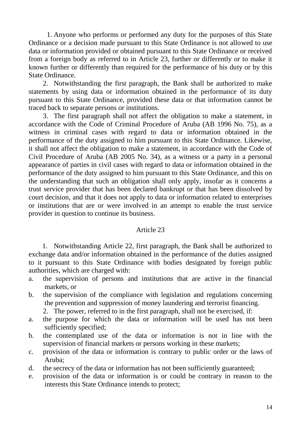1. Anyone who performs or performed any duty for the purposes of this State Ordinance or a decision made pursuant to this State Ordinance is not allowed to use data or information provided or obtained pursuant to this State Ordinance or received from a foreign body as referred to in Article 23, further or differently or to make it known further or differently than required for the performance of his duty or by this State Ordinance.

2. Notwithstanding the first paragraph, the Bank shall be authorized to make statements by using data or information obtained in the performance of its duty pursuant to this State Ordinance, provided these data or that information cannot be traced back to separate persons or institutions.

3. The first paragraph shall not affect the obligation to make a statement, in accordance with the Code of Criminal Procedure of Aruba (AB 1996 No. 75), as a witness in criminal cases with regard to data or information obtained in the performance of the duty assigned to him pursuant to this State Ordinance. Likewise, it shall not affect the obligation to make a statement, in accordance with the Code of Civil Procedure of Aruba (AB 2005 No. 34), as a witness or a party in a personal appearance of parties in civil cases with regard to data or information obtained in the performance of the duty assigned to him pursuant to this State Ordinance, and this on the understanding that such an obligation shall only apply, insofar as it concerns a trust service provider that has been declared bankrupt or that has been dissolved by court decision, and that it does not apply to data or information related to enterprises or institutions that are or were involved in an attempt to enable the trust service provider in question to continue its business.

# Article 23

1. Notwithstanding Article 22, first paragraph, the Bank shall be authorized to exchange data and/or information obtained in the performance of the duties assigned to it pursuant to this State Ordinance with bodies designated by foreign public authorities, which are charged with:

- a. the supervision of persons and institutions that are active in the financial markets, or
- b. the supervision of the compliance with legislation and regulations concerning the prevention and suppression of money laundering and terrorist financing.
	- 2. The power, referred to in the first paragraph, shall not be exercised, if:
- a. the purpose for which the data or information will be used has not been sufficiently specified;
- b. the contemplated use of the data or information is not in line with the supervision of financial markets or persons working in these markets;
- c. provision of the data or information is contrary to public order or the laws of Aruba;
- d. the secrecy of the data or information has not been sufficiently guaranteed;
- e. provision of the data or information is or could be contrary in reason to the interests this State Ordinance intends to protect;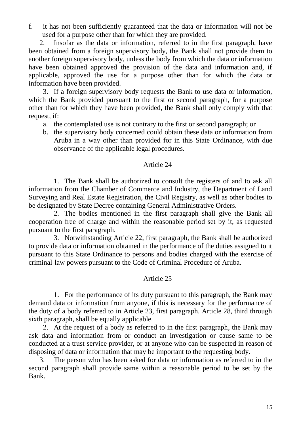f. it has not been sufficiently guaranteed that the data or information will not be used for a purpose other than for which they are provided.

2. Insofar as the data or information, referred to in the first paragraph, have been obtained from a foreign supervisory body, the Bank shall not provide them to another foreign supervisory body, unless the body from which the data or information have been obtained approved the provision of the data and information and, if applicable, approved the use for a purpose other than for which the data or information have been provided.

3. If a foreign supervisory body requests the Bank to use data or information, which the Bank provided pursuant to the first or second paragraph, for a purpose other than for which they have been provided, the Bank shall only comply with that request, if:

- a. the contemplated use is not contrary to the first or second paragraph; or
- b. the supervisory body concerned could obtain these data or information from Aruba in a way other than provided for in this State Ordinance, with due observance of the applicable legal procedures.

# Article 24

1. The Bank shall be authorized to consult the registers of and to ask all information from the Chamber of Commerce and Industry, the Department of Land Surveying and Real Estate Registration, the Civil Registry, as well as other bodies to be designated by State Decree containing General Administrative Orders.

2. The bodies mentioned in the first paragraph shall give the Bank all cooperation free of charge and within the reasonable period set by it, as requested pursuant to the first paragraph.

3. Notwithstanding Article 22, first paragraph, the Bank shall be authorized to provide data or information obtained in the performance of the duties assigned to it pursuant to this State Ordinance to persons and bodies charged with the exercise of criminal-law powers pursuant to the Code of Criminal Procedure of Aruba.

# Article 25

1. For the performance of its duty pursuant to this paragraph, the Bank may demand data or information from anyone, if this is necessary for the performance of the duty of a body referred to in Article 23, first paragraph. Article 28, third through sixth paragraph, shall be equally applicable.

2. At the request of a body as referred to in the first paragraph, the Bank may ask data and information from or conduct an investigation or cause same to be conducted at a trust service provider, or at anyone who can be suspected in reason of disposing of data or information that may be important to the requesting body.

3. The person who has been asked for data or information as referred to in the second paragraph shall provide same within a reasonable period to be set by the Bank.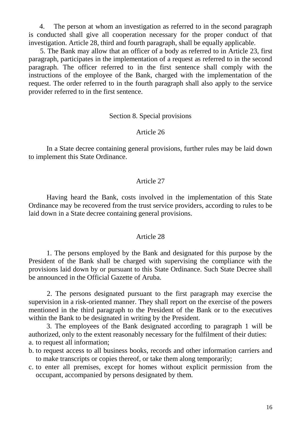4. The person at whom an investigation as referred to in the second paragraph is conducted shall give all cooperation necessary for the proper conduct of that investigation. Article 28, third and fourth paragraph, shall be equally applicable.

5. The Bank may allow that an officer of a body as referred to in Article 23, first paragraph, participates in the implementation of a request as referred to in the second paragraph. The officer referred to in the first sentence shall comply with the instructions of the employee of the Bank, charged with the implementation of the request. The order referred to in the fourth paragraph shall also apply to the service provider referred to in the first sentence.

### Section 8. Special provisions

### Article 26

In a State decree containing general provisions, further rules may be laid down to implement this State Ordinance.

### Article 27

Having heard the Bank, costs involved in the implementation of this State Ordinance may be recovered from the trust service providers, according to rules to be laid down in a State decree containing general provisions.

#### Article 28

1. The persons employed by the Bank and designated for this purpose by the President of the Bank shall be charged with supervising the compliance with the provisions laid down by or pursuant to this State Ordinance. Such State Decree shall be announced in the Official Gazette of Aruba.

2. The persons designated pursuant to the first paragraph may exercise the supervision in a risk-oriented manner. They shall report on the exercise of the powers mentioned in the third paragraph to the President of the Bank or to the executives within the Bank to be designated in writing by the President.

3. The employees of the Bank designated according to paragraph 1 will be authorized, only to the extent reasonably necessary for the fulfilment of their duties: a. to request all information;

- b. to request access to all business books, records and other information carriers and to make transcripts or copies thereof, or take them along temporarily;
- c. to enter all premises, except for homes without explicit permission from the occupant, accompanied by persons designated by them.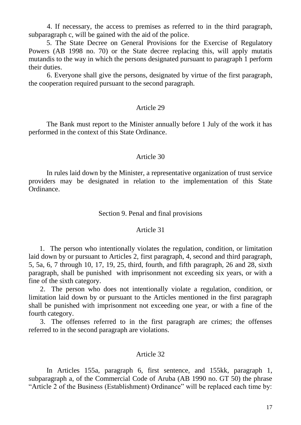4. If necessary, the access to premises as referred to in the third paragraph, subparagraph c, will be gained with the aid of the police.

5. The State Decree on General Provisions for the Exercise of Regulatory Powers (AB 1998 no. 70) or the State decree replacing this, will apply mutatis mutandis to the way in which the persons designated pursuant to paragraph 1 perform their duties.

6. Everyone shall give the persons, designated by virtue of the first paragraph, the cooperation required pursuant to the second paragraph.

## Article 29

The Bank must report to the Minister annually before 1 July of the work it has performed in the context of this State Ordinance.

# Article 30

In rules laid down by the Minister, a representative organization of trust service providers may be designated in relation to the implementation of this State Ordinance.

## Section 9. Penal and final provisions

### Article 31

1. The person who intentionally violates the regulation, condition, or limitation laid down by or pursuant to Articles 2, first paragraph, 4, second and third paragraph, 5, 5a, 6, 7 through 10, 17, 19, 25, third, fourth, and fifth paragraph, 26 and 28, sixth paragraph, shall be punished with imprisonment not exceeding six years, or with a fine of the sixth category.

2. The person who does not intentionally violate a regulation, condition, or limitation laid down by or pursuant to the Articles mentioned in the first paragraph shall be punished with imprisonment not exceeding one year, or with a fine of the fourth category.

3. The offenses referred to in the first paragraph are crimes; the offenses referred to in the second paragraph are violations.

### Article 32

In Articles 155a, paragraph 6, first sentence, and 155kk, paragraph 1, subparagraph a, of the Commercial Code of Aruba (AB 1990 no. GT 50) the phrase "Article 2 of the Business (Establishment) Ordinance" will be replaced each time by: